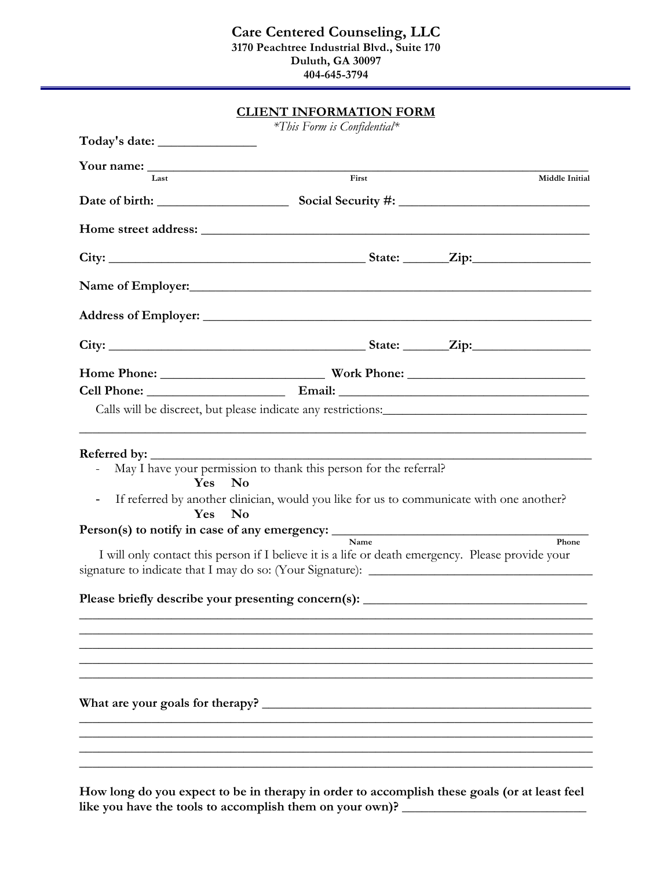|                                            | <b>CLIENT INFORMATION FORM</b>                                                                                                                                                                                                                                                                                                                                                                                           |                |
|--------------------------------------------|--------------------------------------------------------------------------------------------------------------------------------------------------------------------------------------------------------------------------------------------------------------------------------------------------------------------------------------------------------------------------------------------------------------------------|----------------|
| Today's date: ___________________          | *This Form is Confidential*                                                                                                                                                                                                                                                                                                                                                                                              |                |
|                                            |                                                                                                                                                                                                                                                                                                                                                                                                                          |                |
| Last                                       | First                                                                                                                                                                                                                                                                                                                                                                                                                    | Middle Initial |
|                                            |                                                                                                                                                                                                                                                                                                                                                                                                                          |                |
|                                            |                                                                                                                                                                                                                                                                                                                                                                                                                          |                |
|                                            |                                                                                                                                                                                                                                                                                                                                                                                                                          |                |
|                                            |                                                                                                                                                                                                                                                                                                                                                                                                                          |                |
|                                            |                                                                                                                                                                                                                                                                                                                                                                                                                          |                |
|                                            |                                                                                                                                                                                                                                                                                                                                                                                                                          |                |
|                                            |                                                                                                                                                                                                                                                                                                                                                                                                                          |                |
|                                            |                                                                                                                                                                                                                                                                                                                                                                                                                          |                |
|                                            | Calls will be discreet, but please indicate any restrictions:                                                                                                                                                                                                                                                                                                                                                            |                |
| Yes<br>$\qquad \qquad \blacksquare$<br>Yes | May I have your permission to thank this person for the referral?<br><b>No</b><br>If referred by another clinician, would you like for us to communicate with one another?<br><b>No</b><br>Person(s) to notify in case of any emergency: <u>Name</u><br>I will only contact this person if I believe it is a life or death emergency. Please provide your<br>Please briefly describe your presenting concern(s): _______ | Phone          |
|                                            |                                                                                                                                                                                                                                                                                                                                                                                                                          |                |

**How long do you expect to be in therapy in order to accomplish these goals (or at least feel like you have the tools to accomplish them on your own)? \_\_\_\_\_\_\_\_\_\_\_\_\_\_\_\_\_\_\_\_\_\_\_\_\_\_\_\_**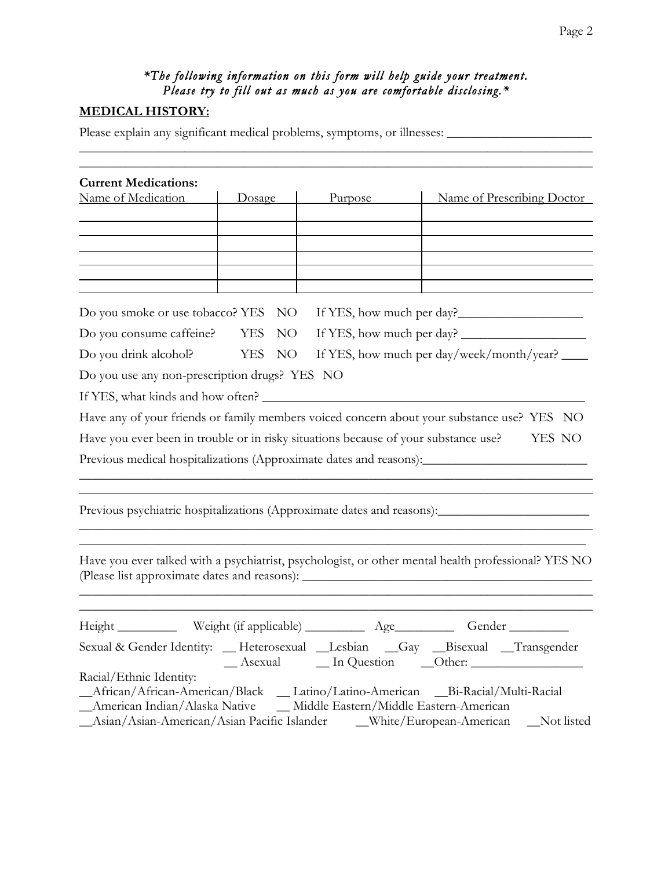# *\*The following information on this form will help guide your treatment. Please try to fill out as much as you are comfortable disclosing.\**

## **MEDICAL HISTORY:**

Please explain any significant medical problems, symptoms, or illnesses: \_\_\_\_\_\_\_\_\_\_\_\_\_\_\_\_\_\_\_\_\_\_

| <b>Current Medications:</b><br>Name of Medication                                                                                                     | Dosage                        | Purpose                                               | Name of Prescribing Doctor                                                                           |  |  |
|-------------------------------------------------------------------------------------------------------------------------------------------------------|-------------------------------|-------------------------------------------------------|------------------------------------------------------------------------------------------------------|--|--|
|                                                                                                                                                       |                               |                                                       |                                                                                                      |  |  |
|                                                                                                                                                       |                               |                                                       |                                                                                                      |  |  |
|                                                                                                                                                       |                               |                                                       |                                                                                                      |  |  |
|                                                                                                                                                       |                               |                                                       |                                                                                                      |  |  |
| Do you smoke or use tobacco? YES                                                                                                                      | NO <sub>1</sub>               |                                                       |                                                                                                      |  |  |
| Do you consume caffeine? YES                                                                                                                          | NO <sub>1</sub>               |                                                       |                                                                                                      |  |  |
| Do you drink alcohol?                                                                                                                                 | <b>YES</b><br>NO <sub>1</sub> |                                                       | If YES, how much per day/week/month/year?                                                            |  |  |
| Do you use any non-prescription drugs? YES NO                                                                                                         |                               |                                                       |                                                                                                      |  |  |
| If YES, what kinds and how often?                                                                                                                     |                               |                                                       |                                                                                                      |  |  |
|                                                                                                                                                       |                               |                                                       | Have any of your friends or family members voiced concern about your substance use? YES NO           |  |  |
| Have you ever been in trouble or in risky situations because of your substance use?                                                                   |                               |                                                       | YES NO                                                                                               |  |  |
|                                                                                                                                                       |                               |                                                       | Previous medical hospitalizations (Approximate dates and reasons): _________________________________ |  |  |
|                                                                                                                                                       |                               |                                                       |                                                                                                      |  |  |
|                                                                                                                                                       |                               |                                                       | Previous psychiatric hospitalizations (Approximate dates and reasons):                               |  |  |
|                                                                                                                                                       |                               |                                                       |                                                                                                      |  |  |
|                                                                                                                                                       |                               |                                                       |                                                                                                      |  |  |
|                                                                                                                                                       |                               |                                                       | Have you ever talked with a psychiatrist, psychologist, or other mental health professional? YES NO  |  |  |
|                                                                                                                                                       |                               |                                                       |                                                                                                      |  |  |
|                                                                                                                                                       |                               |                                                       |                                                                                                      |  |  |
|                                                                                                                                                       |                               | Weight (if applicable) ______________ Age____________ | Gender                                                                                               |  |  |
|                                                                                                                                                       |                               |                                                       | Sexual & Gender Identity: __ Heterosexual __Lesbian __Gay __Bisexual __Transgender                   |  |  |
| Racial/Ethnic Identity:                                                                                                                               |                               |                                                       | _African/African-American/Black _ Latino/Latino-American _ Bi-Racial/Multi-Racial                    |  |  |
| _American Indian/Alaska Native ___ Middle Eastern/Middle Eastern-American<br>_Asian/Asian-American/Asian Pacific Islander ____White/European-American |                               |                                                       | Not listed                                                                                           |  |  |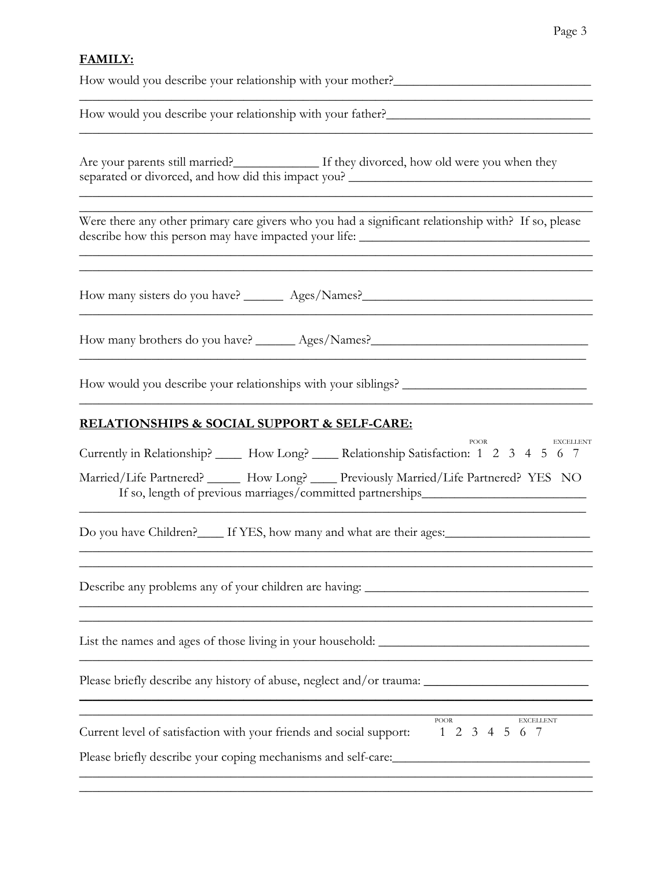### **FAMILY:**

How would you describe your relationship with your mother?\_\_\_\_\_\_\_\_\_\_\_\_\_\_\_\_\_\_\_\_\_\_\_

How would you describe your relationship with your father?\_\_\_\_\_\_\_\_\_\_\_\_\_\_\_\_\_\_\_\_\_\_\_\_\_\_\_\_\_\_\_

Are your parents still married?\_\_\_\_\_\_\_\_\_\_\_\_\_\_ If they divorced, how old were you when they separated or divorced, and how did this impact you? \_\_\_\_\_\_\_\_\_\_\_\_\_\_\_\_\_\_\_\_\_\_\_\_\_\_\_\_\_

\_\_\_\_\_\_\_\_\_\_\_\_\_\_\_\_\_\_\_\_\_\_\_\_\_\_\_\_\_\_\_\_\_\_\_\_\_\_\_\_\_\_\_\_\_\_\_\_\_\_\_\_\_\_\_\_\_\_\_\_\_\_\_\_\_\_\_\_\_\_\_\_\_\_\_\_\_\_

Were there any other primary care givers who you had a significant relationship with? If so, please describe how this person may have impacted your life: \_\_\_\_\_\_\_\_\_\_\_\_\_\_\_\_\_\_\_\_\_\_\_\_\_\_\_

 $\frac{1}{2}$  ,  $\frac{1}{2}$  ,  $\frac{1}{2}$  ,  $\frac{1}{2}$  ,  $\frac{1}{2}$  ,  $\frac{1}{2}$  ,  $\frac{1}{2}$  ,  $\frac{1}{2}$  ,  $\frac{1}{2}$  ,  $\frac{1}{2}$  ,  $\frac{1}{2}$  ,  $\frac{1}{2}$  ,  $\frac{1}{2}$  ,  $\frac{1}{2}$  ,  $\frac{1}{2}$  ,  $\frac{1}{2}$  ,  $\frac{1}{2}$  ,  $\frac{1}{2}$  ,  $\frac{1$ 

\_\_\_\_\_\_\_\_\_\_\_\_\_\_\_\_\_\_\_\_\_\_\_\_\_\_\_\_\_\_\_\_\_\_\_\_\_\_\_\_\_\_\_\_\_\_\_\_\_\_\_\_\_\_\_\_\_\_\_\_\_\_\_\_\_\_\_\_\_\_\_\_\_\_\_\_\_\_ \_\_\_\_\_\_\_\_\_\_\_\_\_\_\_\_\_\_\_\_\_\_\_\_\_\_\_\_\_\_\_\_\_\_\_\_\_\_\_\_\_\_\_\_\_\_\_\_\_\_\_\_\_\_\_\_\_\_\_\_\_\_\_\_\_\_\_\_\_\_\_\_\_\_\_\_\_\_

How many sisters do you have? \_\_\_\_\_\_\_\_ Ages/Names? \_\_\_\_\_\_\_\_\_\_\_\_\_\_\_\_\_\_\_\_\_\_\_\_\_\_\_\_\_

How many brothers do you have? \_\_\_\_\_\_\_ Ages/Names?\_\_\_\_\_\_\_\_\_\_\_\_\_\_\_\_\_\_\_\_\_\_\_\_\_\_\_\_\_\_

How would you describe your relationships with your siblings? \_\_\_\_\_\_\_\_\_\_\_\_\_\_\_\_\_\_\_\_\_\_\_\_\_\_\_\_

#### **RELATIONSHIPS & SOCIAL SUPPORT & SELF-CARE:**

| Currently in Relationship? ______ How Long? _____ Relationship Satisfaction: 1 2 3 4 5 6 7                                                                                   | <b>POOR</b><br><b>EXCELLENT</b> |
|------------------------------------------------------------------------------------------------------------------------------------------------------------------------------|---------------------------------|
| Married/Life Partnered? ______ How Long? _____ Previously Married/Life Partnered? YES NO<br>If so, length of previous marriages/committed partnerships______________________ |                                 |
| Do you have Children?_____ If YES, how many and what are their ages:________________________________                                                                         |                                 |
| Describe any problems any of your children are having:                                                                                                                       |                                 |
|                                                                                                                                                                              |                                 |
| Please briefly describe any history of abuse, neglect and/or trauma:                                                                                                         |                                 |
| Current level of satisfaction with your friends and social support: 1 2 3 4 5 6 7<br>Please briefly describe your coping mechanisms and self-care:                           | <b>POOR</b><br><b>EXCELLENT</b> |
|                                                                                                                                                                              |                                 |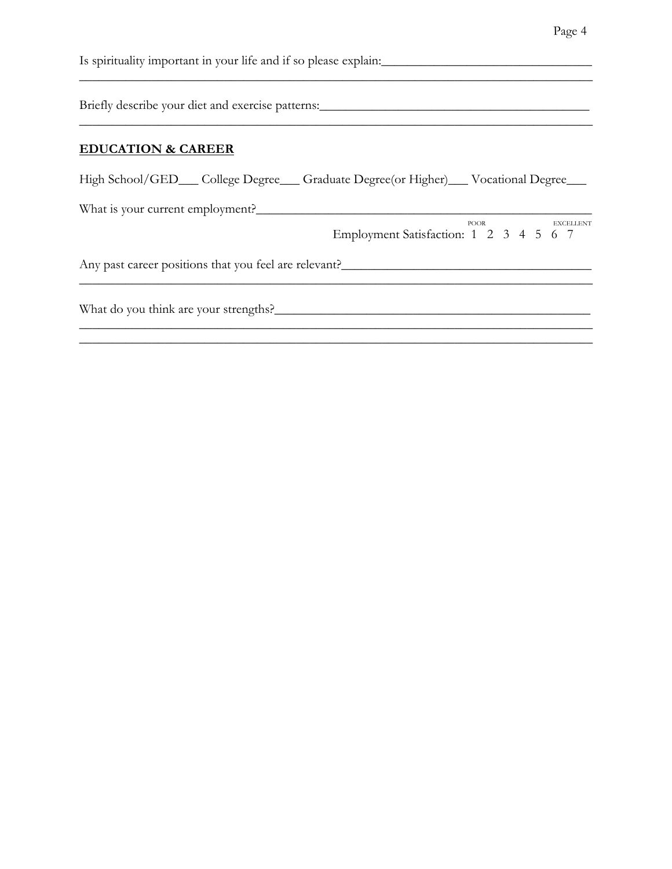| Is spirituality important in your life and if so please explain:                 |  |  |  |  |  |  |  |  |  |  |
|----------------------------------------------------------------------------------|--|--|--|--|--|--|--|--|--|--|
| Briefly describe your diet and exercise patterns:                                |  |  |  |  |  |  |  |  |  |  |
| <b>EDUCATION &amp; CAREER</b>                                                    |  |  |  |  |  |  |  |  |  |  |
| High School/GED__College Degree__Graduate Degree(or Higher)__Vocational Degree__ |  |  |  |  |  |  |  |  |  |  |
| What is your current employment?                                                 |  |  |  |  |  |  |  |  |  |  |
| POOR<br><b>EXCELLENT</b><br>Employment Satisfaction: 1 2 3 4 5 6 7               |  |  |  |  |  |  |  |  |  |  |
| Any past career positions that you feel are relevant?                            |  |  |  |  |  |  |  |  |  |  |
| What do you think are your strengths?                                            |  |  |  |  |  |  |  |  |  |  |
|                                                                                  |  |  |  |  |  |  |  |  |  |  |

Page 4